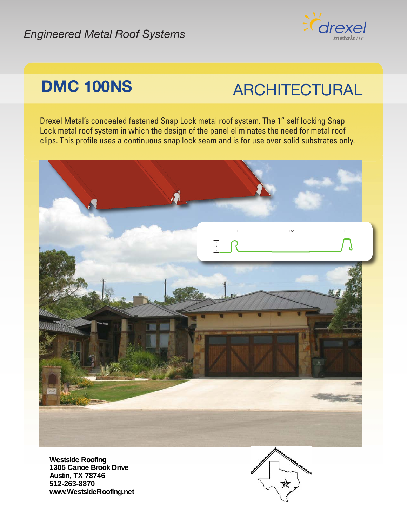#### *Engineered Metal Roof Systems*



## **DMC 100NS** ARCHITECTURAL

Drexel Metal's concealed fastened Snap Lock metal roof system. The 1" self locking Snap Lock metal roof system in which the design of the panel eliminates the need for metal roof clips. This profile uses a continuous snap lock seam and is for use over solid substrates only.



**Westside Roofing 1305 Canoe Brook Drive Austin, TX 78746 512-263-8870 www.WestsideRoofing.net**